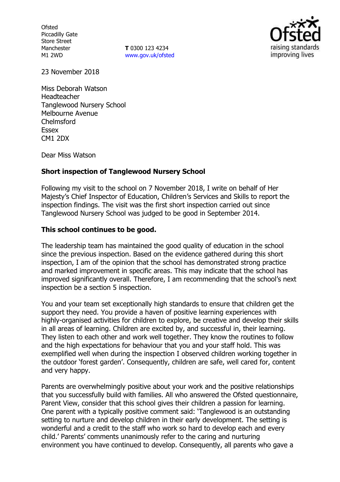**Ofsted** Piccadilly Gate Store Street Manchester M1 2WD

**T** 0300 123 4234 www.gov.uk/ofsted



23 November 2018

Miss Deborah Watson Headteacher Tanglewood Nursery School Melbourne Avenue Chelmsford Essex CM1 2DX

Dear Miss Watson

### **Short inspection of Tanglewood Nursery School**

Following my visit to the school on 7 November 2018, I write on behalf of Her Majesty's Chief Inspector of Education, Children's Services and Skills to report the inspection findings. The visit was the first short inspection carried out since Tanglewood Nursery School was judged to be good in September 2014.

### **This school continues to be good.**

The leadership team has maintained the good quality of education in the school since the previous inspection. Based on the evidence gathered during this short inspection, I am of the opinion that the school has demonstrated strong practice and marked improvement in specific areas. This may indicate that the school has improved significantly overall. Therefore, I am recommending that the school's next inspection be a section 5 inspection.

You and your team set exceptionally high standards to ensure that children get the support they need. You provide a haven of positive learning experiences with highly-organised activities for children to explore, be creative and develop their skills in all areas of learning. Children are excited by, and successful in, their learning. They listen to each other and work well together. They know the routines to follow and the high expectations for behaviour that you and your staff hold. This was exemplified well when during the inspection I observed children working together in the outdoor 'forest garden'. Consequently, children are safe, well cared for, content and very happy.

Parents are overwhelmingly positive about your work and the positive relationships that you successfully build with families. All who answered the Ofsted questionnaire, Parent View, consider that this school gives their children a passion for learning. One parent with a typically positive comment said: 'Tanglewood is an outstanding setting to nurture and develop children in their early development. The setting is wonderful and a credit to the staff who work so hard to develop each and every child.' Parents' comments unanimously refer to the caring and nurturing environment you have continued to develop. Consequently, all parents who gave a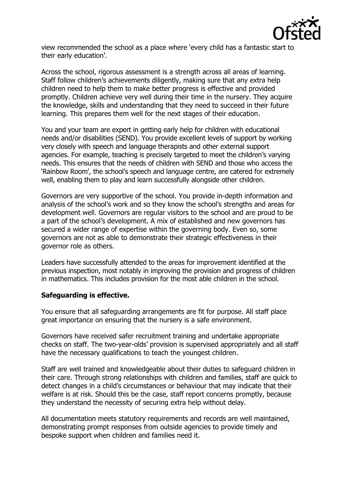

view recommended the school as a place where 'every child has a fantastic start to their early education'.

Across the school, rigorous assessment is a strength across all areas of learning. Staff follow children's achievements diligently, making sure that any extra help children need to help them to make better progress is effective and provided promptly. Children achieve very well during their time in the nursery. They acquire the knowledge, skills and understanding that they need to succeed in their future learning. This prepares them well for the next stages of their education.

You and your team are expert in getting early help for children with educational needs and/or disabilities (SEND). You provide excellent levels of support by working very closely with speech and language therapists and other external support agencies. For example, teaching is precisely targeted to meet the children's varying needs. This ensures that the needs of children with SEND and those who access the 'Rainbow Room', the school's speech and language centre, are catered for extremely well, enabling them to play and learn successfully alongside other children.

Governors are very supportive of the school. You provide in-depth information and analysis of the school's work and so they know the school's strengths and areas for development well. Governors are regular visitors to the school and are proud to be a part of the school's development. A mix of established and new governors has secured a wider range of expertise within the governing body. Even so, some governors are not as able to demonstrate their strategic effectiveness in their governor role as others.

Leaders have successfully attended to the areas for improvement identified at the previous inspection, most notably in improving the provision and progress of children in mathematics. This includes provision for the most able children in the school.

### **Safeguarding is effective.**

You ensure that all safeguarding arrangements are fit for purpose. All staff place great importance on ensuring that the nursery is a safe environment.

Governors have received safer recruitment training and undertake appropriate checks on staff. The two-year-olds' provision is supervised appropriately and all staff have the necessary qualifications to teach the youngest children.

Staff are well trained and knowledgeable about their duties to safeguard children in their care. Through strong relationships with children and families, staff are quick to detect changes in a child's circumstances or behaviour that may indicate that their welfare is at risk. Should this be the case, staff report concerns promptly, because they understand the necessity of securing extra help without delay.

All documentation meets statutory requirements and records are well maintained, demonstrating prompt responses from outside agencies to provide timely and bespoke support when children and families need it.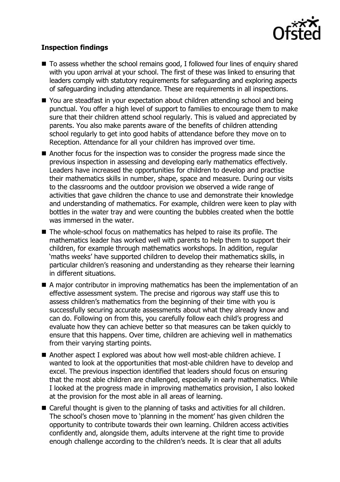

## **Inspection findings**

- To assess whether the school remains good, I followed four lines of enguiry shared with you upon arrival at your school. The first of these was linked to ensuring that leaders comply with statutory requirements for safeguarding and exploring aspects of safeguarding including attendance. These are requirements in all inspections.
- You are steadfast in your expectation about children attending school and being punctual. You offer a high level of support to families to encourage them to make sure that their children attend school regularly. This is valued and appreciated by parents. You also make parents aware of the benefits of children attending school regularly to get into good habits of attendance before they move on to Reception. Attendance for all your children has improved over time.
- Another focus for the inspection was to consider the progress made since the previous inspection in assessing and developing early mathematics effectively. Leaders have increased the opportunities for children to develop and practise their mathematics skills in number, shape, space and measure. During our visits to the classrooms and the outdoor provision we observed a wide range of activities that gave children the chance to use and demonstrate their knowledge and understanding of mathematics. For example, children were keen to play with bottles in the water tray and were counting the bubbles created when the bottle was immersed in the water.
- The whole-school focus on mathematics has helped to raise its profile. The mathematics leader has worked well with parents to help them to support their children, for example through mathematics workshops. In addition, regular 'maths weeks' have supported children to develop their mathematics skills, in particular children's reasoning and understanding as they rehearse their learning in different situations.
- $\blacksquare$  A major contributor in improving mathematics has been the implementation of an effective assessment system. The precise and rigorous way staff use this to assess children's mathematics from the beginning of their time with you is successfully securing accurate assessments about what they already know and can do. Following on from this, you carefully follow each child's progress and evaluate how they can achieve better so that measures can be taken quickly to ensure that this happens. Over time, children are achieving well in mathematics from their varying starting points.
- Another aspect I explored was about how well most-able children achieve. I wanted to look at the opportunities that most-able children have to develop and excel. The previous inspection identified that leaders should focus on ensuring that the most able children are challenged, especially in early mathematics. While I looked at the progress made in improving mathematics provision, I also looked at the provision for the most able in all areas of learning.
- Careful thought is given to the planning of tasks and activities for all children. The school's chosen move to 'planning in the moment' has given children the opportunity to contribute towards their own learning. Children access activities confidently and, alongside them, adults intervene at the right time to provide enough challenge according to the children's needs. It is clear that all adults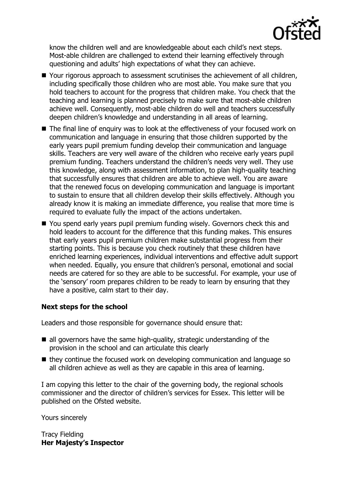

know the children well and are knowledgeable about each child's next steps. Most-able children are challenged to extend their learning effectively through questioning and adults' high expectations of what they can achieve.

- Your rigorous approach to assessment scrutinises the achievement of all children, including specifically those children who are most able. You make sure that you hold teachers to account for the progress that children make. You check that the teaching and learning is planned precisely to make sure that most-able children achieve well. Consequently, most-able children do well and teachers successfully deepen children's knowledge and understanding in all areas of learning.
- The final line of enquiry was to look at the effectiveness of your focused work on communication and language in ensuring that those children supported by the early years pupil premium funding develop their communication and language skills. Teachers are very well aware of the children who receive early years pupil premium funding. Teachers understand the children's needs very well. They use this knowledge, along with assessment information, to plan high-quality teaching that successfully ensures that children are able to achieve well. You are aware that the renewed focus on developing communication and language is important to sustain to ensure that all children develop their skills effectively. Although you already know it is making an immediate difference, you realise that more time is required to evaluate fully the impact of the actions undertaken.
- You spend early years pupil premium funding wisely. Governors check this and hold leaders to account for the difference that this funding makes. This ensures that early years pupil premium children make substantial progress from their starting points. This is because you check routinely that these children have enriched learning experiences, individual interventions and effective adult support when needed. Equally, you ensure that children's personal, emotional and social needs are catered for so they are able to be successful. For example, your use of the 'sensory' room prepares children to be ready to learn by ensuring that they have a positive, calm start to their day.

# **Next steps for the school**

Leaders and those responsible for governance should ensure that:

- $\blacksquare$  all governors have the same high-quality, strategic understanding of the provision in the school and can articulate this clearly
- $\blacksquare$  they continue the focused work on developing communication and language so all children achieve as well as they are capable in this area of learning.

I am copying this letter to the chair of the governing body, the regional schools commissioner and the director of children's services for Essex. This letter will be published on the Ofsted website.

Yours sincerely

Tracy Fielding **Her Majesty's Inspector**